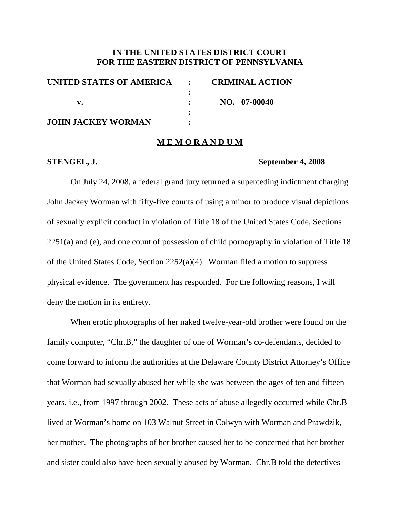# **IN THE UNITED STATES DISTRICT COURT FOR THE EASTERN DISTRICT OF PENNSYLVANIA**

| UNITED STATES OF AMERICA : CRIMINAL ACTION |              |
|--------------------------------------------|--------------|
|                                            |              |
|                                            | NO. 07-00040 |
|                                            |              |
| <b>JOHN JACKEY WORMAN</b>                  |              |

## **M E M O R A N D U M**

## **STENGEL, J. September 4, 2008**

On July 24, 2008, a federal grand jury returned a superceding indictment charging John Jackey Worman with fifty-five counts of using a minor to produce visual depictions of sexually explicit conduct in violation of Title 18 of the United States Code, Sections 2251(a) and (e), and one count of possession of child pornography in violation of Title 18 of the United States Code, Section 2252(a)(4). Worman filed a motion to suppress physical evidence. The government has responded. For the following reasons, I will deny the motion in its entirety.

When erotic photographs of her naked twelve-year-old brother were found on the family computer, "Chr.B," the daughter of one of Worman's co-defendants, decided to come forward to inform the authorities at the Delaware County District Attorney's Office that Worman had sexually abused her while she was between the ages of ten and fifteen years, i.e., from 1997 through 2002. These acts of abuse allegedly occurred while Chr.B lived at Worman's home on 103 Walnut Street in Colwyn with Worman and Prawdzik, her mother. The photographs of her brother caused her to be concerned that her brother and sister could also have been sexually abused by Worman. Chr.B told the detectives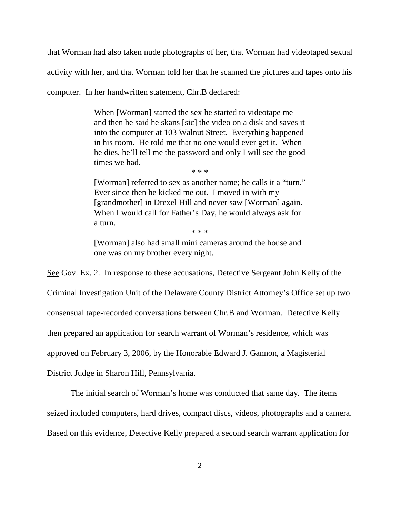that Worman had also taken nude photographs of her, that Worman had videotaped sexual activity with her, and that Worman told her that he scanned the pictures and tapes onto his

computer. In her handwritten statement, Chr.B declared:

When [Worman] started the sex he started to videotape me and then he said he skans [sic] the video on a disk and saves it into the computer at 103 Walnut Street. Everything happened in his room. He told me that no one would ever get it. When he dies, he'll tell me the password and only I will see the good times we had.

\* \* \*

[Worman] referred to sex as another name; he calls it a "turn." Ever since then he kicked me out. I moved in with my [grandmother] in Drexel Hill and never saw [Worman] again. When I would call for Father's Day, he would always ask for a turn.

\* \* \*

[Worman] also had small mini cameras around the house and one was on my brother every night.

See Gov. Ex. 2. In response to these accusations, Detective Sergeant John Kelly of the Criminal Investigation Unit of the Delaware County District Attorney's Office set up two consensual tape-recorded conversations between Chr.B and Worman. Detective Kelly then prepared an application for search warrant of Worman's residence, which was approved on February 3, 2006, by the Honorable Edward J. Gannon, a Magisterial

District Judge in Sharon Hill, Pennsylvania.

The initial search of Worman's home was conducted that same day. The items seized included computers, hard drives, compact discs, videos, photographs and a camera.

Based on this evidence, Detective Kelly prepared a second search warrant application for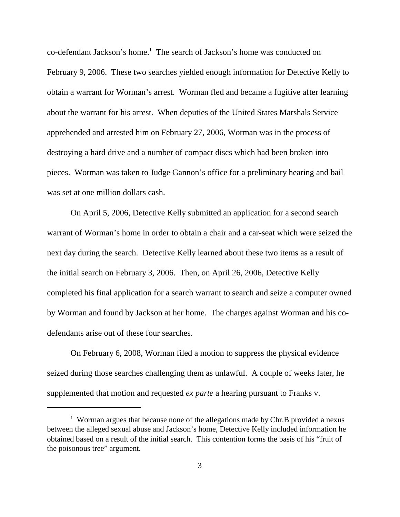co-defendant Jackson's home. <sup>1</sup> The search of Jackson's home was conducted on February 9, 2006. These two searches yielded enough information for Detective Kelly to obtain a warrant for Worman's arrest. Worman fled and became a fugitive after learning about the warrant for his arrest. When deputies of the United States Marshals Service apprehended and arrested him on February 27, 2006, Worman was in the process of destroying a hard drive and a number of compact discs which had been broken into pieces. Worman was taken to Judge Gannon's office for a preliminary hearing and bail was set at one million dollars cash.

On April 5, 2006, Detective Kelly submitted an application for a second search warrant of Worman's home in order to obtain a chair and a car-seat which were seized the next day during the search. Detective Kelly learned about these two items as a result of the initial search on February 3, 2006. Then, on April 26, 2006, Detective Kelly completed his final application for a search warrant to search and seize a computer owned by Worman and found by Jackson at her home. The charges against Worman and his codefendants arise out of these four searches.

On February 6, 2008, Worman filed a motion to suppress the physical evidence seized during those searches challenging them as unlawful. A couple of weeks later, he supplemented that motion and requested *ex parte* a hearing pursuant to Franks v.

<sup>&</sup>lt;sup>1</sup> Worman argues that because none of the allegations made by Chr.B provided a nexus between the alleged sexual abuse and Jackson's home, Detective Kelly included information he obtained based on a result of the initial search. This contention forms the basis of his "fruit of the poisonous tree" argument.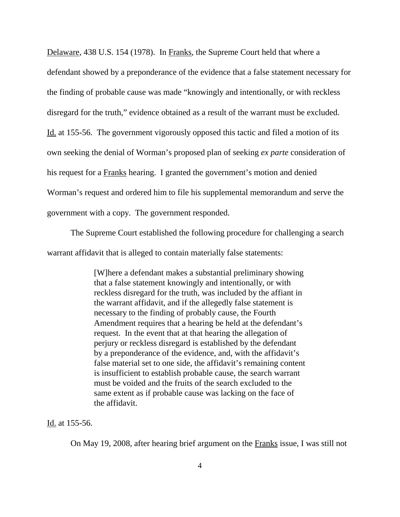Delaware, 438 U.S. 154 (1978). In Franks, the Supreme Court held that where a defendant showed by a preponderance of the evidence that a false statement necessary for the finding of probable cause was made "knowingly and intentionally, or with reckless disregard for the truth," evidence obtained as a result of the warrant must be excluded. Id. at 155-56. The government vigorously opposed this tactic and filed a motion of its own seeking the denial of Worman's proposed plan of seeking *ex parte* consideration of his request for a Franks hearing. I granted the government's motion and denied Worman's request and ordered him to file his supplemental memorandum and serve the government with a copy. The government responded.

The Supreme Court established the following procedure for challenging a search warrant affidavit that is alleged to contain materially false statements:

> [W]here a defendant makes a substantial preliminary showing that a false statement knowingly and intentionally, or with reckless disregard for the truth, was included by the affiant in the warrant affidavit, and if the allegedly false statement is necessary to the finding of probably cause, the Fourth Amendment requires that a hearing be held at the defendant's request. In the event that at that hearing the allegation of perjury or reckless disregard is established by the defendant by a preponderance of the evidence, and, with the affidavit's false material set to one side, the affidavit's remaining content is insufficient to establish probable cause, the search warrant must be voided and the fruits of the search excluded to the same extent as if probable cause was lacking on the face of the affidavit.

Id. at 155-56.

On May 19, 2008, after hearing brief argument on the Franks issue, I was still not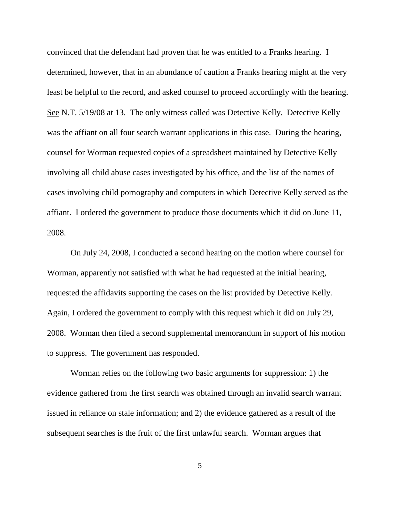convinced that the defendant had proven that he was entitled to a Franks hearing. I determined, however, that in an abundance of caution a Franks hearing might at the very least be helpful to the record, and asked counsel to proceed accordingly with the hearing. See N.T. 5/19/08 at 13. The only witness called was Detective Kelly. Detective Kelly was the affiant on all four search warrant applications in this case. During the hearing, counsel for Worman requested copies of a spreadsheet maintained by Detective Kelly involving all child abuse cases investigated by his office, and the list of the names of cases involving child pornography and computers in which Detective Kelly served as the affiant. I ordered the government to produce those documents which it did on June 11, 2008.

On July 24, 2008, I conducted a second hearing on the motion where counsel for Worman, apparently not satisfied with what he had requested at the initial hearing, requested the affidavits supporting the cases on the list provided by Detective Kelly. Again, I ordered the government to comply with this request which it did on July 29, 2008. Worman then filed a second supplemental memorandum in support of his motion to suppress. The government has responded.

Worman relies on the following two basic arguments for suppression: 1) the evidence gathered from the first search was obtained through an invalid search warrant issued in reliance on stale information; and 2) the evidence gathered as a result of the subsequent searches is the fruit of the first unlawful search. Worman argues that

5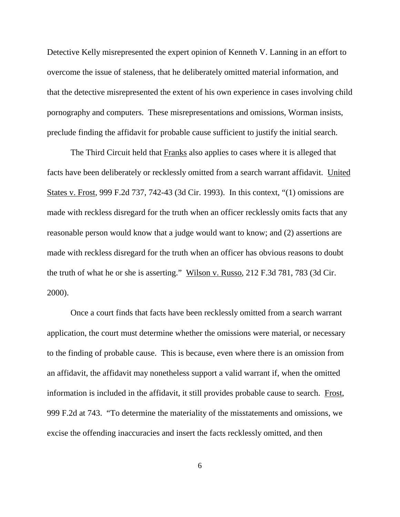Detective Kelly misrepresented the expert opinion of Kenneth V. Lanning in an effort to overcome the issue of staleness, that he deliberately omitted material information, and that the detective misrepresented the extent of his own experience in cases involving child pornography and computers. These misrepresentations and omissions, Worman insists, preclude finding the affidavit for probable cause sufficient to justify the initial search.

The Third Circuit held that **Franks** also applies to cases where it is alleged that facts have been deliberately or recklessly omitted from a search warrant affidavit. United States v. Frost, 999 F.2d 737, 742-43 (3d Cir. 1993). In this context, "(1) omissions are made with reckless disregard for the truth when an officer recklessly omits facts that any reasonable person would know that a judge would want to know; and (2) assertions are made with reckless disregard for the truth when an officer has obvious reasons to doubt the truth of what he or she is asserting." Wilson v. Russo, 212 F.3d 781, 783 (3d Cir. 2000).

Once a court finds that facts have been recklessly omitted from a search warrant application, the court must determine whether the omissions were material, or necessary to the finding of probable cause. This is because, even where there is an omission from an affidavit, the affidavit may nonetheless support a valid warrant if, when the omitted information is included in the affidavit, it still provides probable cause to search. Frost, 999 F.2d at 743. "To determine the materiality of the misstatements and omissions, we excise the offending inaccuracies and insert the facts recklessly omitted, and then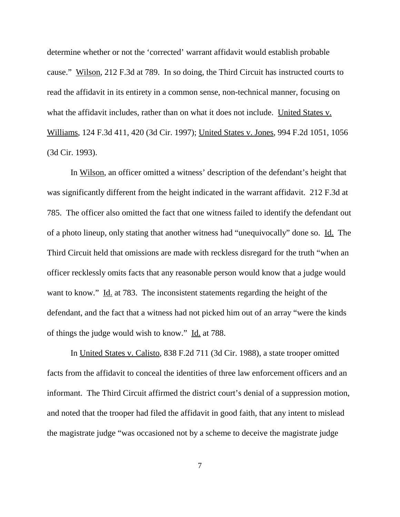determine whether or not the 'corrected' warrant affidavit would establish probable cause." Wilson, 212 F.3d at 789. In so doing, the Third Circuit has instructed courts to read the affidavit in its entirety in a common sense, non-technical manner, focusing on what the affidavit includes, rather than on what it does not include. United States v. Williams, 124 F.3d 411, 420 (3d Cir. 1997); United States v. Jones, 994 F.2d 1051, 1056 (3d Cir. 1993).

In Wilson, an officer omitted a witness' description of the defendant's height that was significantly different from the height indicated in the warrant affidavit. 212 F.3d at 785. The officer also omitted the fact that one witness failed to identify the defendant out of a photo lineup, only stating that another witness had "unequivocally" done so. Id. The Third Circuit held that omissions are made with reckless disregard for the truth "when an officer recklessly omits facts that any reasonable person would know that a judge would want to know." Id. at 783. The inconsistent statements regarding the height of the defendant, and the fact that a witness had not picked him out of an array "were the kinds of things the judge would wish to know." Id. at 788.

In United States v. Calisto, 838 F.2d 711 (3d Cir. 1988), a state trooper omitted facts from the affidavit to conceal the identities of three law enforcement officers and an informant. The Third Circuit affirmed the district court's denial of a suppression motion, and noted that the trooper had filed the affidavit in good faith, that any intent to mislead the magistrate judge "was occasioned not by a scheme to deceive the magistrate judge

7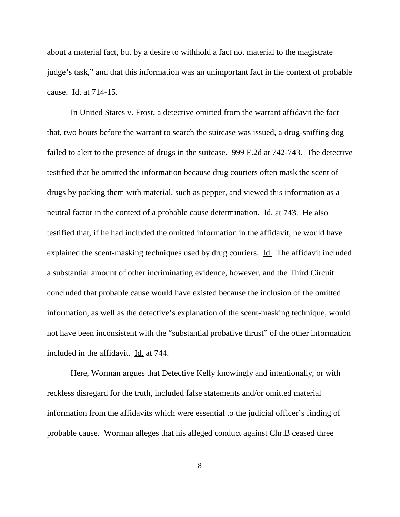about a material fact, but by a desire to withhold a fact not material to the magistrate judge's task," and that this information was an unimportant fact in the context of probable cause. Id. at 714-15.

In United States v. Frost, a detective omitted from the warrant affidavit the fact that, two hours before the warrant to search the suitcase was issued, a drug-sniffing dog failed to alert to the presence of drugs in the suitcase. 999 F.2d at 742-743. The detective testified that he omitted the information because drug couriers often mask the scent of drugs by packing them with material, such as pepper, and viewed this information as a neutral factor in the context of a probable cause determination. Id. at 743. He also testified that, if he had included the omitted information in the affidavit, he would have explained the scent-masking techniques used by drug couriers. Id. The affidavit included a substantial amount of other incriminating evidence, however, and the Third Circuit concluded that probable cause would have existed because the inclusion of the omitted information, as well as the detective's explanation of the scent-masking technique, would not have been inconsistent with the "substantial probative thrust" of the other information included in the affidavit. Id. at 744.

Here, Worman argues that Detective Kelly knowingly and intentionally, or with reckless disregard for the truth, included false statements and/or omitted material information from the affidavits which were essential to the judicial officer's finding of probable cause. Worman alleges that his alleged conduct against Chr.B ceased three

8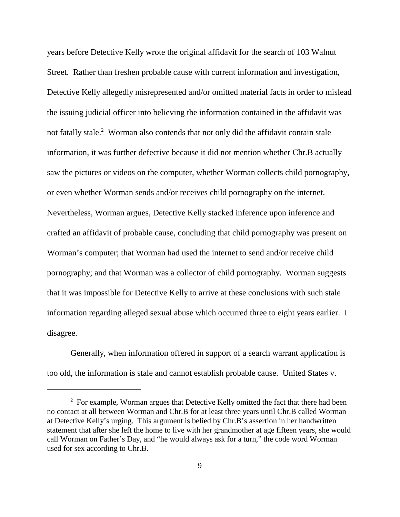years before Detective Kelly wrote the original affidavit for the search of 103 Walnut Street. Rather than freshen probable cause with current information and investigation, Detective Kelly allegedly misrepresented and/or omitted material facts in order to mislead the issuing judicial officer into believing the information contained in the affidavit was not fatally stale. <sup>2</sup> Worman also contends that not only did the affidavit contain stale information, it was further defective because it did not mention whether Chr.B actually saw the pictures or videos on the computer, whether Worman collects child pornography, or even whether Worman sends and/or receives child pornography on the internet. Nevertheless, Worman argues, Detective Kelly stacked inference upon inference and crafted an affidavit of probable cause, concluding that child pornography was present on Worman's computer; that Worman had used the internet to send and/or receive child pornography; and that Worman was a collector of child pornography. Worman suggests that it was impossible for Detective Kelly to arrive at these conclusions with such stale information regarding alleged sexual abuse which occurred three to eight years earlier. I disagree.

Generally, when information offered in support of a search warrant application is too old, the information is stale and cannot establish probable cause. United States v.

<sup>&</sup>lt;sup>2</sup> For example, Worman argues that Detective Kelly omitted the fact that there had been no contact at all between Worman and Chr.B for at least three years until Chr.B called Worman at Detective Kelly's urging. This argument is belied by Chr.B's assertion in her handwritten statement that after she left the home to live with her grandmother at age fifteen years, she would call Worman on Father's Day, and "he would always ask for a turn," the code word Worman used for sex according to Chr.B.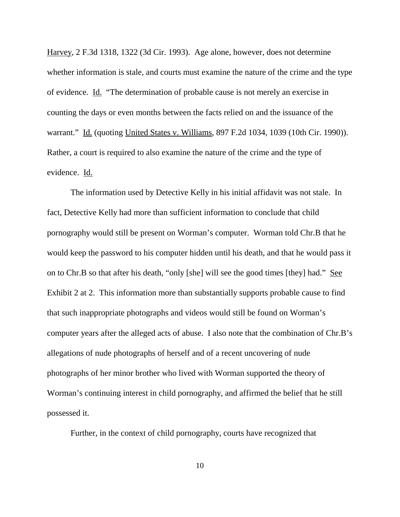Harvey, 2 F.3d 1318, 1322 (3d Cir. 1993). Age alone, however, does not determine whether information is stale, and courts must examine the nature of the crime and the type of evidence. Id. "The determination of probable cause is not merely an exercise in counting the days or even months between the facts relied on and the issuance of the warrant." Id. (quoting United States v. Williams, 897 F.2d 1034, 1039 (10th Cir. 1990)). Rather, a court is required to also examine the nature of the crime and the type of evidence. Id.

The information used by Detective Kelly in his initial affidavit was not stale. In fact, Detective Kelly had more than sufficient information to conclude that child pornography would still be present on Worman's computer. Worman told Chr.B that he would keep the password to his computer hidden until his death, and that he would pass it on to Chr.B so that after his death, "only [she] will see the good times [they] had." See Exhibit 2 at 2. This information more than substantially supports probable cause to find that such inappropriate photographs and videos would still be found on Worman's computer years after the alleged acts of abuse. I also note that the combination of Chr.B's allegations of nude photographs of herself and of a recent uncovering of nude photographs of her minor brother who lived with Worman supported the theory of Worman's continuing interest in child pornography, and affirmed the belief that he still possessed it.

Further, in the context of child pornography, courts have recognized that

10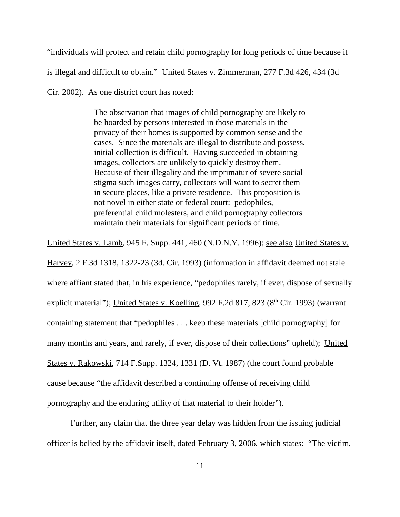"individuals will protect and retain child pornography for long periods of time because it is illegal and difficult to obtain." United States v. Zimmerman, 277 F.3d 426, 434 (3d

Cir. 2002). As one district court has noted:

The observation that images of child pornography are likely to be hoarded by persons interested in those materials in the privacy of their homes is supported by common sense and the cases. Since the materials are illegal to distribute and possess, initial collection is difficult. Having succeeded in obtaining images, collectors are unlikely to quickly destroy them. Because of their illegality and the imprimatur of severe social stigma such images carry, collectors will want to secret them in secure places, like a private residence. This proposition is not novel in either state or federal court: pedophiles, preferential child molesters, and child pornography collectors maintain their materials for significant periods of time.

United States v. Lamb, 945 F. Supp. 441, 460 (N.D.N.Y. 1996); see also United States v. Harvey, 2 F.3d 1318, 1322-23 (3d. Cir. 1993) (information in affidavit deemed not stale where affiant stated that, in his experience, "pedophiles rarely, if ever, dispose of sexually explicit material"); United States v. Koelling,  $992$  F.2d  $817$ ,  $823$  ( $8<sup>th</sup>$  Cir. 1993) (warrant containing statement that "pedophiles . . . keep these materials [child pornography] for

many months and years, and rarely, if ever, dispose of their collections" upheld); United

States v. Rakowski, 714 F.Supp. 1324, 1331 (D. Vt. 1987) (the court found probable

cause because "the affidavit described a continuing offense of receiving child

pornography and the enduring utility of that material to their holder").

Further, any claim that the three year delay was hidden from the issuing judicial officer is belied by the affidavit itself, dated February 3, 2006, which states: "The victim,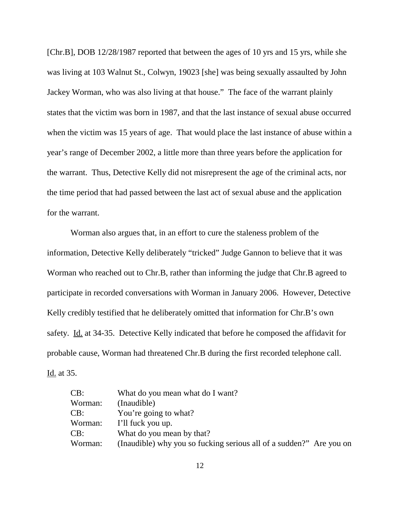[Chr.B], DOB 12/28/1987 reported that between the ages of 10 yrs and 15 yrs, while she was living at 103 Walnut St., Colwyn, 19023 [she] was being sexually assaulted by John Jackey Worman, who was also living at that house." The face of the warrant plainly states that the victim was born in 1987, and that the last instance of sexual abuse occurred when the victim was 15 years of age. That would place the last instance of abuse within a year's range of December 2002, a little more than three years before the application for the warrant. Thus, Detective Kelly did not misrepresent the age of the criminal acts, nor the time period that had passed between the last act of sexual abuse and the application for the warrant.

Worman also argues that, in an effort to cure the staleness problem of the information, Detective Kelly deliberately "tricked" Judge Gannon to believe that it was Worman who reached out to Chr.B, rather than informing the judge that Chr.B agreed to participate in recorded conversations with Worman in January 2006. However, Detective Kelly credibly testified that he deliberately omitted that information for Chr.B's own safety. Id. at 34-35. Detective Kelly indicated that before he composed the affidavit for probable cause, Worman had threatened Chr.B during the first recorded telephone call. Id. at 35.

| CB:     | What do you mean what do I want?                                    |
|---------|---------------------------------------------------------------------|
| Worman: | (Inaudible)                                                         |
| CB:     | You're going to what?                                               |
| Worman: | I'll fuck you up.                                                   |
| CB:     | What do you mean by that?                                           |
| Worman: | (Inaudible) why you so fucking serious all of a sudden?" Are you on |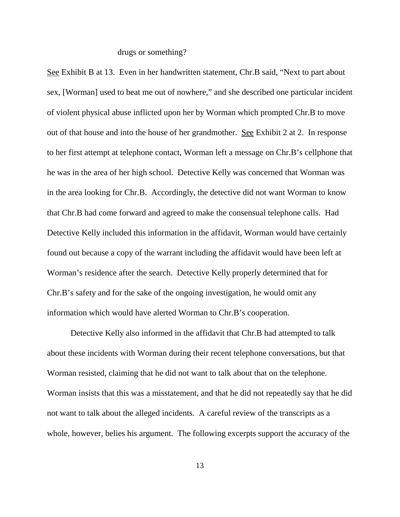### drugs or something?

See Exhibit B at 13. Even in her handwritten statement, Chr.B said, "Next to part about sex, [Worman] used to beat me out of nowhere," and she described one particular incident of violent physical abuse inflicted upon her by Worman which prompted Chr.B to move out of that house and into the house of her grandmother. See Exhibit 2 at 2. In response to her first attempt at telephone contact, Worman left a message on Chr.B's cellphone that he was in the area of her high school. Detective Kelly was concerned that Worman was in the area looking for Chr.B. Accordingly, the detective did not want Worman to know that Chr.B had come forward and agreed to make the consensual telephone calls. Had Detective Kelly included this information in the affidavit, Worman would have certainly found out because a copy of the warrant including the affidavit would have been left at Worman's residence after the search. Detective Kelly properly determined that for Chr.B's safety and for the sake of the ongoing investigation, he would omit any information which would have alerted Worman to Chr.B's cooperation.

Detective Kelly also informed in the affidavit that Chr.B had attempted to talk about these incidents with Worman during their recent telephone conversations, but that Worman resisted, claiming that he did not want to talk about that on the telephone. Worman insists that this was a misstatement, and that he did not repeatedly say that he did not want to talk about the alleged incidents. A careful review of the transcripts as a whole, however, belies his argument. The following excerpts support the accuracy of the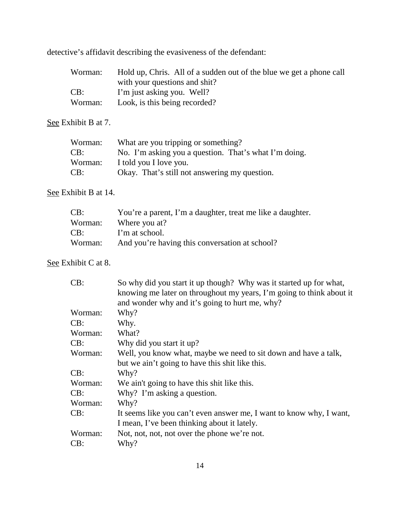detective's affidavit describing the evasiveness of the defendant:

| Worman: | Hold up, Chris. All of a sudden out of the blue we get a phone call |
|---------|---------------------------------------------------------------------|
|         | with your questions and shit?                                       |
| CB:     | I'm just asking you. Well?                                          |
| Worman: | Look, is this being recorded?                                       |

See Exhibit B at 7.

| Worman: | What are you tripping or something?                   |
|---------|-------------------------------------------------------|
| CB:     | No. I'm asking you a question. That's what I'm doing. |
| Worman: | I told you I love you.                                |
| CB:     | Okay. That's still not answering my question.         |

See Exhibit B at 14.

| CB:     | You're a parent, I'm a daughter, treat me like a daughter. |
|---------|------------------------------------------------------------|
| Worman: | Where you at?                                              |
| CB:     | I'm at school.                                             |
| Worman: | And you're having this conversation at school?             |

See Exhibit C at 8.

| CB:     | So why did you start it up though? Why was it started up for what,   |
|---------|----------------------------------------------------------------------|
|         | knowing me later on throughout my years, I'm going to think about it |
|         | and wonder why and it's going to hurt me, why?                       |
| Worman: | Why?                                                                 |
| CB:     | Why.                                                                 |
| Worman: | What?                                                                |
| CB:     | Why did you start it up?                                             |
| Worman: | Well, you know what, maybe we need to sit down and have a talk,      |
|         | but we ain't going to have this shit like this.                      |
| CB:     | Why?                                                                 |
| Worman: | We ain't going to have this shit like this.                          |
| CB:     | Why? I'm asking a question.                                          |
| Worman: | Why?                                                                 |
| CB:     | It seems like you can't even answer me, I want to know why, I want,  |
|         | I mean, I've been thinking about it lately.                          |
| Worman: | Not, not, not, not over the phone we're not.                         |
| CB:     | Why?                                                                 |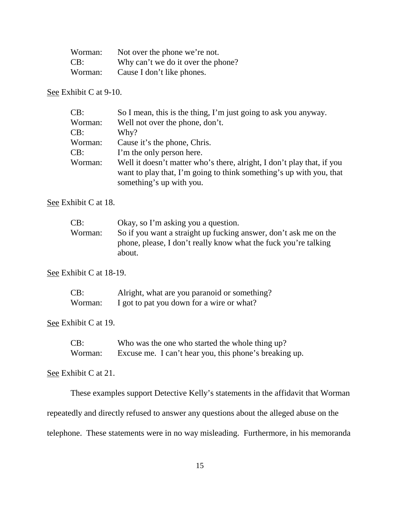| Worman: | Not over the phone we're not.      |
|---------|------------------------------------|
| CB:     | Why can't we do it over the phone? |
| Worman: | Cause I don't like phones.         |

See Exhibit C at 9-10.

| CB:     | So I mean, this is the thing, I'm just going to ask you anyway.                                                                                                           |
|---------|---------------------------------------------------------------------------------------------------------------------------------------------------------------------------|
| Worman: | Well not over the phone, don't.                                                                                                                                           |
| CB:     | Why?                                                                                                                                                                      |
| Worman: | Cause it's the phone, Chris.                                                                                                                                              |
| CB:     | I'm the only person here.                                                                                                                                                 |
| Worman: | Well it doesn't matter who's there, alright, I don't play that, if you<br>want to play that, I'm going to think something's up with you, that<br>something's up with you. |

See Exhibit C at 18.

| CB:     | Okay, so I'm asking you a question.                              |
|---------|------------------------------------------------------------------|
| Worman: | So if you want a straight up fucking answer, don't ask me on the |
|         | phone, please, I don't really know what the fuck you're talking  |
|         | about.                                                           |

See Exhibit C at 18-19.

| CB:     | Alright, what are you paranoid or something? |
|---------|----------------------------------------------|
| Worman: | I got to pat you down for a wire or what?    |

See Exhibit C at 19.

CB: Who was the one who started the whole thing up? Worman: Excuse me. I can't hear you, this phone's breaking up.

See Exhibit C at 21.

These examples support Detective Kelly's statements in the affidavit that Worman

repeatedly and directly refused to answer any questions about the alleged abuse on the

telephone. These statements were in no way misleading. Furthermore, in his memoranda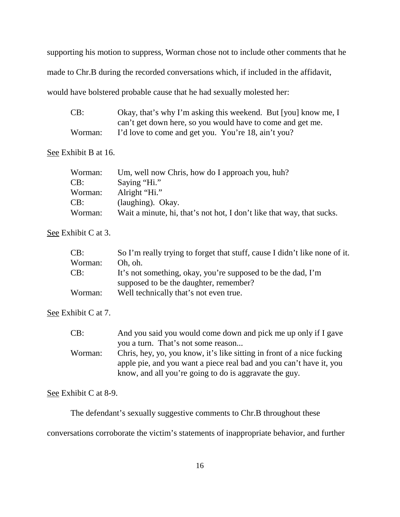supporting his motion to suppress, Worman chose not to include other comments that he made to Chr.B during the recorded conversations which, if included in the affidavit, would have bolstered probable cause that he had sexually molested her:

| CB:     | Okay, that's why I'm asking this weekend. But [you] know me, I |
|---------|----------------------------------------------------------------|
|         | can't get down here, so you would have to come and get me.     |
| Worman: | I'd love to come and get you. You're 18, ain't you?            |

See Exhibit B at 16.

| Worman: | Um, well now Chris, how do I approach you, huh?                       |
|---------|-----------------------------------------------------------------------|
| CB:     | Saying "Hi."                                                          |
| Worman: | Alright "Hi."                                                         |
| CB:     | (laughing). Okay.                                                     |
| Worman: | Wait a minute, hi, that's not hot, I don't like that way, that sucks. |

See Exhibit C at 3.

| CB:     | So I'm really trying to forget that stuff, cause I didn't like none of it. |
|---------|----------------------------------------------------------------------------|
| Worman: | Oh, oh.                                                                    |
| CB:     | It's not something, okay, you're supposed to be the dad, I'm               |
|         | supposed to be the daughter, remember?                                     |
| Worman: | Well technically that's not even true.                                     |

See Exhibit C at 7.

| CB:     | And you said you would come down and pick me up only if I gave         |
|---------|------------------------------------------------------------------------|
|         | you a turn. That's not some reason                                     |
| Worman: | Chris, hey, yo, you know, it's like sitting in front of a nice fucking |
|         | apple pie, and you want a piece real bad and you can't have it, you    |
|         | know, and all you're going to do is aggravate the guy.                 |
|         |                                                                        |

See Exhibit C at 8-9.

The defendant's sexually suggestive comments to Chr.B throughout these

conversations corroborate the victim's statements of inappropriate behavior, and further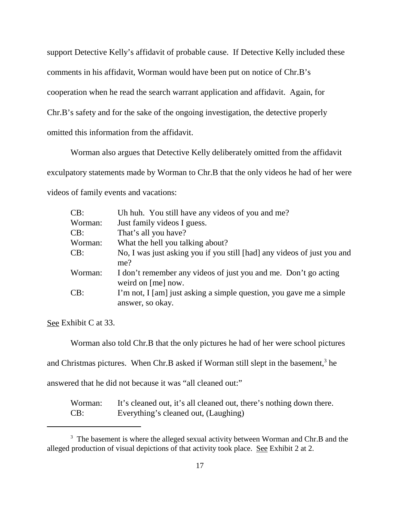support Detective Kelly's affidavit of probable cause. If Detective Kelly included these comments in his affidavit, Worman would have been put on notice of Chr.B's cooperation when he read the search warrant application and affidavit. Again, for Chr.B's safety and for the sake of the ongoing investigation, the detective properly omitted this information from the affidavit.

Worman also argues that Detective Kelly deliberately omitted from the affidavit exculpatory statements made by Worman to Chr.B that the only videos he had of her were videos of family events and vacations:

| Uh huh. You still have any videos of you and me?                                        |
|-----------------------------------------------------------------------------------------|
| Just family videos I guess.                                                             |
| That's all you have?                                                                    |
| What the hell you talking about?                                                        |
| No, I was just asking you if you still [had] any videos of just you and<br>me?          |
| I don't remember any videos of just you and me. Don't go acting<br>weird on [me] now.   |
| I'm not, I [am] just asking a simple question, you gave me a simple<br>answer, so okay. |
|                                                                                         |

See Exhibit C at 33.

Worman also told Chr.B that the only pictures he had of her were school pictures

and Christmas pictures. When Chr.B asked if Worman still slept in the basement,<sup>3</sup> he

answered that he did not because it was "all cleaned out:"

| Worman: | It's cleaned out, it's all cleaned out, there's nothing down there. |
|---------|---------------------------------------------------------------------|
| CB:     | Everything's cleaned out, (Laughing)                                |

<sup>&</sup>lt;sup>3</sup> The basement is where the alleged sexual activity between Worman and Chr.B and the alleged production of visual depictions of that activity took place. See Exhibit 2 at 2.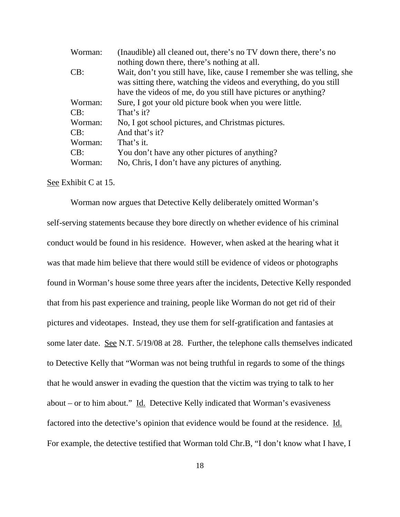| Worman: | (Inaudible) all cleaned out, there's no TV down there, there's no                                                                              |  |  |
|---------|------------------------------------------------------------------------------------------------------------------------------------------------|--|--|
|         | nothing down there, there's nothing at all.                                                                                                    |  |  |
| CB:     | Wait, don't you still have, like, cause I remember she was telling, she<br>was sitting there, watching the videos and everything, do you still |  |  |
|         | have the videos of me, do you still have pictures or anything?                                                                                 |  |  |
| Worman: | Sure, I got your old picture book when you were little.                                                                                        |  |  |
| CB:     | That's it?                                                                                                                                     |  |  |
| Worman: | No, I got school pictures, and Christmas pictures.                                                                                             |  |  |
| CB:     | And that's it?                                                                                                                                 |  |  |
| Worman: | That's it.                                                                                                                                     |  |  |
| CB:     | You don't have any other pictures of anything?                                                                                                 |  |  |
| Worman: | No, Chris, I don't have any pictures of anything.                                                                                              |  |  |

See Exhibit C at 15.

Worman now argues that Detective Kelly deliberately omitted Worman's self-serving statements because they bore directly on whether evidence of his criminal conduct would be found in his residence. However, when asked at the hearing what it was that made him believe that there would still be evidence of videos or photographs found in Worman's house some three years after the incidents, Detective Kelly responded that from his past experience and training, people like Worman do not get rid of their pictures and videotapes. Instead, they use them for self-gratification and fantasies at some later date. See N.T. 5/19/08 at 28. Further, the telephone calls themselves indicated to Detective Kelly that "Worman was not being truthful in regards to some of the things that he would answer in evading the question that the victim was trying to talk to her about – or to him about." Id. Detective Kelly indicated that Worman's evasiveness factored into the detective's opinion that evidence would be found at the residence. Id. For example, the detective testified that Worman told Chr.B, "I don't know what I have, I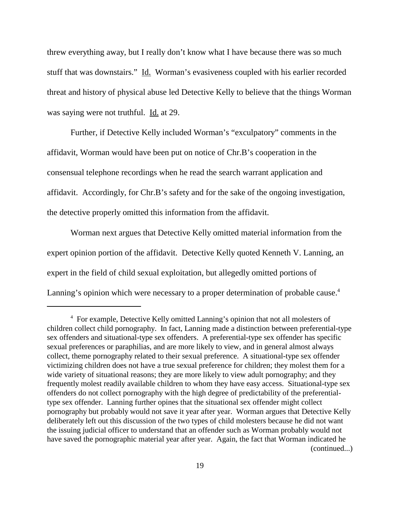threw everything away, but I really don't know what I have because there was so much stuff that was downstairs." Id. Worman's evasiveness coupled with his earlier recorded threat and history of physical abuse led Detective Kelly to believe that the things Worman was saying were not truthful. Id. at 29.

Further, if Detective Kelly included Worman's "exculpatory" comments in the affidavit, Worman would have been put on notice of Chr.B's cooperation in the consensual telephone recordings when he read the search warrant application and affidavit. Accordingly, for Chr.B's safety and for the sake of the ongoing investigation, the detective properly omitted this information from the affidavit.

Worman next argues that Detective Kelly omitted material information from the expert opinion portion of the affidavit. Detective Kelly quoted Kenneth V. Lanning, an expert in the field of child sexual exploitation, but allegedly omitted portions of Lanning's opinion which were necessary to a proper determination of probable cause.<sup>4</sup>

<sup>4</sup> For example, Detective Kelly omitted Lanning's opinion that not all molesters of children collect child pornography. In fact, Lanning made a distinction between preferential-type sex offenders and situational-type sex offenders. A preferential-type sex offender has specific sexual preferences or paraphilias, and are more likely to view, and in general almost always collect, theme pornography related to their sexual preference. A situational-type sex offender victimizing children does not have a true sexual preference for children; they molest them for a wide variety of situational reasons; they are more likely to view adult pornography; and they frequently molest readily available children to whom they have easy access. Situational-type sex offenders do not collect pornography with the high degree of predictability of the preferentialtype sex offender. Lanning further opines that the situational sex offender might collect pornography but probably would not save it year after year. Worman argues that Detective Kelly deliberately left out this discussion of the two types of child molesters because he did not want the issuing judicial officer to understand that an offender such as Worman probably would not have saved the pornographic material year after year. Again, the fact that Worman indicated he (continued...)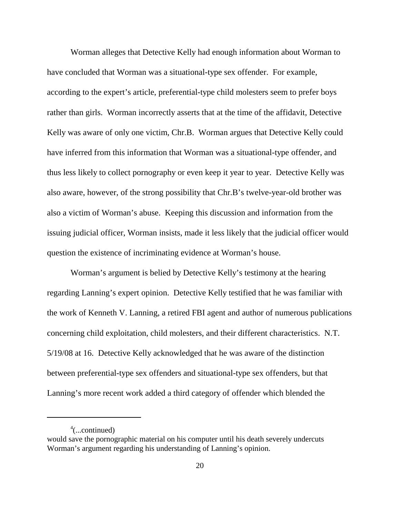Worman alleges that Detective Kelly had enough information about Worman to have concluded that Worman was a situational-type sex offender. For example, according to the expert's article, preferential-type child molesters seem to prefer boys rather than girls. Worman incorrectly asserts that at the time of the affidavit, Detective Kelly was aware of only one victim, Chr.B. Worman argues that Detective Kelly could have inferred from this information that Worman was a situational-type offender, and thus less likely to collect pornography or even keep it year to year. Detective Kelly was also aware, however, of the strong possibility that Chr.B's twelve-year-old brother was also a victim of Worman's abuse. Keeping this discussion and information from the issuing judicial officer, Worman insists, made it less likely that the judicial officer would question the existence of incriminating evidence at Worman's house.

Worman's argument is belied by Detective Kelly's testimony at the hearing regarding Lanning's expert opinion. Detective Kelly testified that he was familiar with the work of Kenneth V. Lanning, a retired FBI agent and author of numerous publications concerning child exploitation, child molesters, and their different characteristics. N.T. 5/19/08 at 16. Detective Kelly acknowledged that he was aware of the distinction between preferential-type sex offenders and situational-type sex offenders, but that Lanning's more recent work added a third category of offender which blended the

<sup>4</sup> (...continued)

would save the pornographic material on his computer until his death severely undercuts Worman's argument regarding his understanding of Lanning's opinion.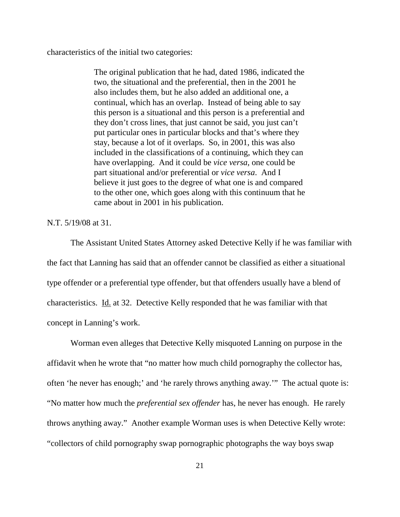characteristics of the initial two categories:

The original publication that he had, dated 1986, indicated the two, the situational and the preferential, then in the 2001 he also includes them, but he also added an additional one, a continual, which has an overlap. Instead of being able to say this person is a situational and this person is a preferential and they don't cross lines, that just cannot be said, you just can't put particular ones in particular blocks and that's where they stay, because a lot of it overlaps. So, in 2001, this was also included in the classifications of a continuing, which they can have overlapping. And it could be *vice versa*, one could be part situational and/or preferential or *vice versa*. And I believe it just goes to the degree of what one is and compared to the other one, which goes along with this continuum that he came about in 2001 in his publication.

N.T. 5/19/08 at 31.

The Assistant United States Attorney asked Detective Kelly if he was familiar with the fact that Lanning has said that an offender cannot be classified as either a situational type offender or a preferential type offender, but that offenders usually have a blend of characteristics. Id. at 32. Detective Kelly responded that he was familiar with that concept in Lanning's work.

Worman even alleges that Detective Kelly misquoted Lanning on purpose in the affidavit when he wrote that "no matter how much child pornography the collector has, often 'he never has enough;' and 'he rarely throws anything away.'" The actual quote is: "No matter how much the *preferential sex offender* has, he never has enough. He rarely throws anything away." Another example Worman uses is when Detective Kelly wrote: "collectors of child pornography swap pornographic photographs the way boys swap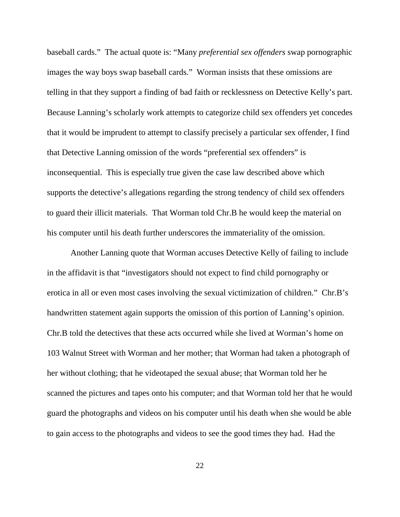baseball cards." The actual quote is: "Many *preferential sex offenders* swap pornographic images the way boys swap baseball cards." Worman insists that these omissions are telling in that they support a finding of bad faith or recklessness on Detective Kelly's part. Because Lanning's scholarly work attempts to categorize child sex offenders yet concedes that it would be imprudent to attempt to classify precisely a particular sex offender, I find that Detective Lanning omission of the words "preferential sex offenders" is inconsequential. This is especially true given the case law described above which supports the detective's allegations regarding the strong tendency of child sex offenders to guard their illicit materials. That Worman told Chr.B he would keep the material on his computer until his death further underscores the immateriality of the omission.

Another Lanning quote that Worman accuses Detective Kelly of failing to include in the affidavit is that "investigators should not expect to find child pornography or erotica in all or even most cases involving the sexual victimization of children." Chr.B's handwritten statement again supports the omission of this portion of Lanning's opinion. Chr.B told the detectives that these acts occurred while she lived at Worman's home on 103 Walnut Street with Worman and her mother; that Worman had taken a photograph of her without clothing; that he videotaped the sexual abuse; that Worman told her he scanned the pictures and tapes onto his computer; and that Worman told her that he would guard the photographs and videos on his computer until his death when she would be able to gain access to the photographs and videos to see the good times they had. Had the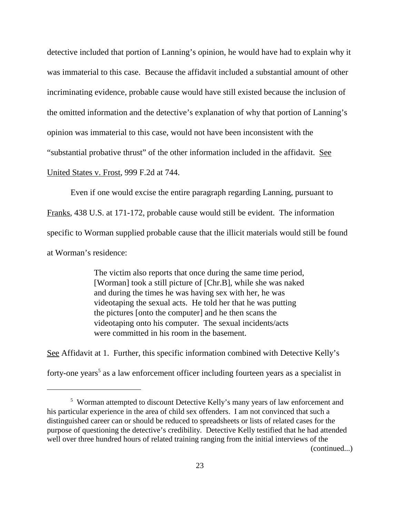detective included that portion of Lanning's opinion, he would have had to explain why it was immaterial to this case. Because the affidavit included a substantial amount of other incriminating evidence, probable cause would have still existed because the inclusion of the omitted information and the detective's explanation of why that portion of Lanning's opinion was immaterial to this case, would not have been inconsistent with the "substantial probative thrust" of the other information included in the affidavit. See United States v. Frost, 999 F.2d at 744.

Even if one would excise the entire paragraph regarding Lanning, pursuant to Franks, 438 U.S. at 171-172, probable cause would still be evident. The information specific to Worman supplied probable cause that the illicit materials would still be found at Worman's residence:

> The victim also reports that once during the same time period, [Worman] took a still picture of [Chr.B], while she was naked and during the times he was having sex with her, he was videotaping the sexual acts. He told her that he was putting the pictures [onto the computer] and he then scans the videotaping onto his computer. The sexual incidents/acts were committed in his room in the basement.

See Affidavit at 1. Further, this specific information combined with Detective Kelly's forty-one years <sup>5</sup> as a law enforcement officer including fourteen years as a specialist in

(continued...)

<sup>5</sup> Worman attempted to discount Detective Kelly's many years of law enforcement and his particular experience in the area of child sex offenders. I am not convinced that such a distinguished career can or should be reduced to spreadsheets or lists of related cases for the purpose of questioning the detective's credibility. Detective Kelly testified that he had attended well over three hundred hours of related training ranging from the initial interviews of the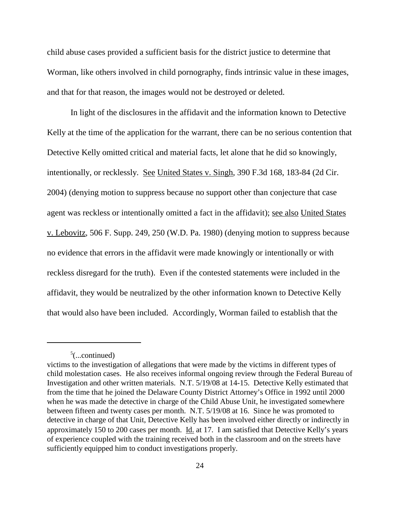child abuse cases provided a sufficient basis for the district justice to determine that Worman, like others involved in child pornography, finds intrinsic value in these images, and that for that reason, the images would not be destroyed or deleted.

In light of the disclosures in the affidavit and the information known to Detective Kelly at the time of the application for the warrant, there can be no serious contention that Detective Kelly omitted critical and material facts, let alone that he did so knowingly, intentionally, or recklessly. See United States v. Singh, 390 F.3d 168, 183-84 (2d Cir. 2004) (denying motion to suppress because no support other than conjecture that case agent was reckless or intentionally omitted a fact in the affidavit); see also United States v. Lebovitz, 506 F. Supp. 249, 250 (W.D. Pa. 1980) (denying motion to suppress because no evidence that errors in the affidavit were made knowingly or intentionally or with reckless disregard for the truth). Even if the contested statements were included in the affidavit, they would be neutralized by the other information known to Detective Kelly that would also have been included. Accordingly, Worman failed to establish that the

 $5$ (...continued)

victims to the investigation of allegations that were made by the victims in different types of child molestation cases. He also receives informal ongoing review through the Federal Bureau of Investigation and other written materials. N.T. 5/19/08 at 14-15. Detective Kelly estimated that from the time that he joined the Delaware County District Attorney's Office in 1992 until 2000 when he was made the detective in charge of the Child Abuse Unit, he investigated somewhere between fifteen and twenty cases per month. N.T. 5/19/08 at 16. Since he was promoted to detective in charge of that Unit, Detective Kelly has been involved either directly or indirectly in approximately 150 to 200 cases per month. Id. at 17. I am satisfied that Detective Kelly's years of experience coupled with the training received both in the classroom and on the streets have sufficiently equipped him to conduct investigations properly.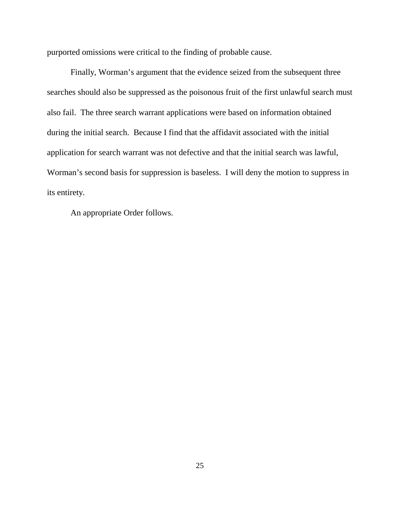purported omissions were critical to the finding of probable cause.

Finally, Worman's argument that the evidence seized from the subsequent three searches should also be suppressed as the poisonous fruit of the first unlawful search must also fail. The three search warrant applications were based on information obtained during the initial search. Because I find that the affidavit associated with the initial application for search warrant was not defective and that the initial search was lawful, Worman's second basis for suppression is baseless. I will deny the motion to suppress in its entirety.

An appropriate Order follows.